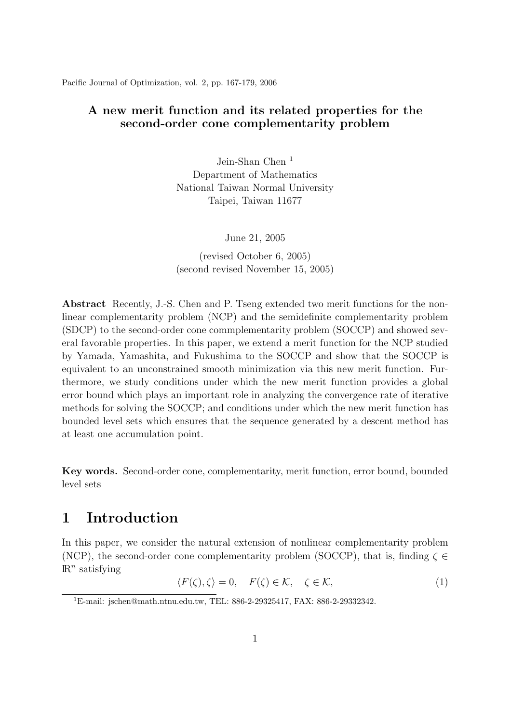Pacific Journal of Optimization, vol. 2, pp. 167-179, 2006

#### A new merit function and its related properties for the second-order cone complementarity problem

Jein-Shan Chen <sup>1</sup> Department of Mathematics National Taiwan Normal University Taipei, Taiwan 11677

June 21, 2005

(revised October 6, 2005) (second revised November 15, 2005)

Abstract Recently, J.-S. Chen and P. Tseng extended two merit functions for the nonlinear complementarity problem (NCP) and the semidefinite complementarity problem (SDCP) to the second-order cone commplementarity problem (SOCCP) and showed several favorable properties. In this paper, we extend a merit function for the NCP studied by Yamada, Yamashita, and Fukushima to the SOCCP and show that the SOCCP is equivalent to an unconstrained smooth minimization via this new merit function. Furthermore, we study conditions under which the new merit function provides a global error bound which plays an important role in analyzing the convergence rate of iterative methods for solving the SOCCP; and conditions under which the new merit function has bounded level sets which ensures that the sequence generated by a descent method has at least one accumulation point.

Key words. Second-order cone, complementarity, merit function, error bound, bounded level sets

## 1 Introduction

In this paper, we consider the natural extension of nonlinear complementarity problem (NCP), the second-order cone complementarity problem (SOCCP), that is, finding  $\zeta \in$  $\mathbb{R}^n$  satisfying

$$
\langle F(\zeta), \zeta \rangle = 0, \quad F(\zeta) \in \mathcal{K}, \quad \zeta \in \mathcal{K}, \tag{1}
$$

<sup>1</sup>E-mail: jschen@math.ntnu.edu.tw, TEL: 886-2-29325417, FAX: 886-2-29332342.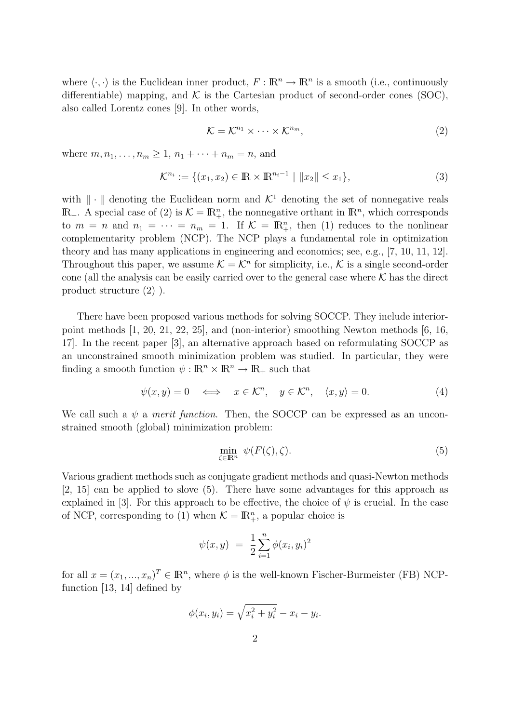where  $\langle \cdot, \cdot \rangle$  is the Euclidean inner product,  $F : \mathbb{R}^n \to \mathbb{R}^n$  is a smooth (i.e., continuously differentiable) mapping, and  $K$  is the Cartesian product of second-order cones (SOC), also called Lorentz cones [9]. In other words,

$$
\mathcal{K} = \mathcal{K}^{n_1} \times \dots \times \mathcal{K}^{n_m},\tag{2}
$$

where  $m, n_1, ..., n_m \ge 1, n_1 + ... + n_m = n$ , and

$$
\mathcal{K}^{n_i} := \{ (x_1, x_2) \in \mathbb{R} \times \mathbb{R}^{n_i - 1} \mid ||x_2|| \le x_1 \},\tag{3}
$$

with  $\|\cdot\|$  denoting the Euclidean norm and  $\mathcal{K}^1$  denoting the set of nonnegative reals  $\mathbb{R}_+$ . A special case of (2) is  $\mathcal{K} = \mathbb{R}_+^n$ , the nonnegative orthant in  $\mathbb{R}^n$ , which corresponds to  $m = n$  and  $n_1 = \cdots = n_m = 1$ . If  $\mathcal{K} = \mathbb{R}^n_+$ , then (1) reduces to the nonlinear complementarity problem (NCP). The NCP plays a fundamental role in optimization theory and has many applications in engineering and economics; see, e.g., [7, 10, 11, 12]. Throughout this paper, we assume  $\mathcal{K} = \mathcal{K}^n$  for simplicity, i.e.,  $\mathcal K$  is a single second-order cone (all the analysis can be easily carried over to the general case where  $K$  has the direct product structure (2) ).

There have been proposed various methods for solving SOCCP. They include interiorpoint methods [1, 20, 21, 22, 25], and (non-interior) smoothing Newton methods [6, 16, 17]. In the recent paper [3], an alternative approach based on reformulating SOCCP as an unconstrained smooth minimization problem was studied. In particular, they were finding a smooth function  $\psi : \mathbb{R}^n \times \mathbb{R}^n \to \mathbb{R}_+$  such that

$$
\psi(x,y) = 0 \iff x \in \mathcal{K}^n, \quad y \in \mathcal{K}^n, \quad \langle x, y \rangle = 0. \tag{4}
$$

We call such a  $\psi$  a *merit function*. Then, the SOCCP can be expressed as an unconstrained smooth (global) minimization problem:

$$
\min_{\zeta \in \mathbb{R}^n} \ \psi(F(\zeta), \zeta). \tag{5}
$$

Various gradient methods such as conjugate gradient methods and quasi-Newton methods [2, 15] can be applied to slove (5). There have some advantages for this approach as explained in [3]. For this approach to be effective, the choice of  $\psi$  is crucial. In the case of NCP, corresponding to (1) when  $\mathcal{K} = \mathbb{R}^n_+$ , a popular choice is

$$
\psi(x, y) = \frac{1}{2} \sum_{i=1}^{n} \phi(x_i, y_i)^2
$$

for all  $x = (x_1, ..., x_n)^T \in \mathbb{R}^n$ , where  $\phi$  is the well-known Fischer-Burmeister (FB) NCPfunction [13, 14] defined by

$$
\phi(x_i, y_i) = \sqrt{x_i^2 + y_i^2} - x_i - y_i.
$$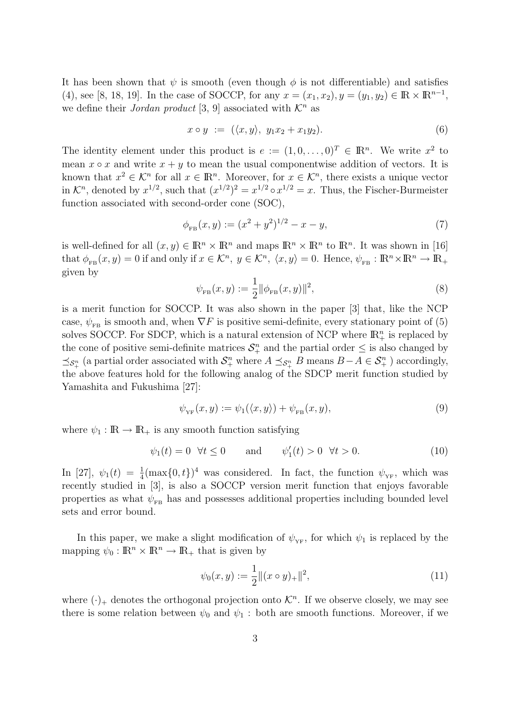It has been shown that  $\psi$  is smooth (even though  $\phi$  is not differentiable) and satisfies (4), see [8, 18, 19]. In the case of SOCCP, for any  $x = (x_1, x_2), y = (y_1, y_2) \in \mathbb{R} \times \mathbb{R}^{n-1}$ , we define their Jordan product [3, 9] associated with  $\mathcal{K}^n$  as

$$
x \circ y := (\langle x, y \rangle, y_1 x_2 + x_1 y_2). \tag{6}
$$

The identity element under this product is  $e := (1, 0, \ldots, 0)^T \in \mathbb{R}^n$ . We write  $x^2$  to mean  $x \circ x$  and write  $x + y$  to mean the usual componentwise addition of vectors. It is known that  $x^2 \in \mathcal{K}^n$  for all  $x \in \mathbb{R}^n$ . Moreover, for  $x \in \mathcal{K}^n$ , there exists a unique vector in  $\mathcal{K}^n$ , denoted by  $x^{1/2}$ , such that  $(x^{1/2})^2 = x^{1/2} \circ x^{1/2} = x$ . Thus, the Fischer-Burmeister function associated with second-order cone (SOC),

$$
\phi_{\text{FB}}(x, y) := (x^2 + y^2)^{1/2} - x - y,\tag{7}
$$

is well-defined for all  $(x, y) \in \mathbb{R}^n \times \mathbb{R}^n$  and maps  $\mathbb{R}^n \times \mathbb{R}^n$  to  $\mathbb{R}^n$ . It was shown in [16] that  $\phi_{FB}(x, y) = 0$  if and only if  $x \in \mathcal{K}^n$ ,  $y \in \mathcal{K}^n$ ,  $\langle x, y \rangle = 0$ . Hence,  $\psi_{FB} : \mathbb{R}^n \times \mathbb{R}^n \to \mathbb{R}^+$ given by

$$
\psi_{FB}(x, y) := \frac{1}{2} ||\phi_{FB}(x, y)||^2,
$$
\n(8)

is a merit function for SOCCP. It was also shown in the paper [3] that, like the NCP case,  $\psi_{FB}$  is smooth and, when  $\nabla F$  is positive semi-definite, every stationary point of (5) solves SOCCP. For SDCP, which is a natural extension of NCP where  $\mathbb{R}^n_+$  is replaced by the cone of positive semi-definite matrices  $S_{+}^{n}$  and the partial order  $\leq$  is also changed by  $\preceq_{\mathcal{S}^n_+}$  (a partial order associated with  $\mathcal{S}^n_+$  where  $A \preceq_{\mathcal{S}^n_+} B$  means  $B-A \in \mathcal{S}^n_+$ ) accordingly, the above features hold for the following analog of the SDCP merit function studied by Yamashita and Fukushima [27]:

$$
\psi_{\text{YF}}(x,y) := \psi_1(\langle x,y \rangle) + \psi_{\text{FB}}(x,y),\tag{9}
$$

where  $\psi_1 : \mathbb{R} \to \mathbb{R}_+$  is any smooth function satisfying

$$
\psi_1(t) = 0 \quad \forall t \le 0 \qquad \text{and} \qquad \psi_1'(t) > 0 \quad \forall t > 0. \tag{10}
$$

In [27],  $\psi_1(t) = \frac{1}{4}(\max\{0,t\})^4$  was considered. In fact, the function  $\psi_{YF}$ , which was recently studied in [3], is also a SOCCP version merit function that enjoys favorable properties as what  $\psi_{FB}$  has and possesses additional properties including bounded level sets and error bound.

In this paper, we make a slight modification of  $\psi_{\text{YF}}$ , for which  $\psi_1$  is replaced by the mapping  $\psi_0 : \mathbb{R}^n \times \mathbb{R}^n \to \mathbb{R}_+$  that is given by

$$
\psi_0(x, y) := \frac{1}{2} ||(x \circ y)_+||^2,\tag{11}
$$

where  $(\cdot)_+$  denotes the orthogonal projection onto  $\mathcal{K}^n$ . If we observe closely, we may see there is some relation between  $\psi_0$  and  $\psi_1$ : both are smooth functions. Moreover, if we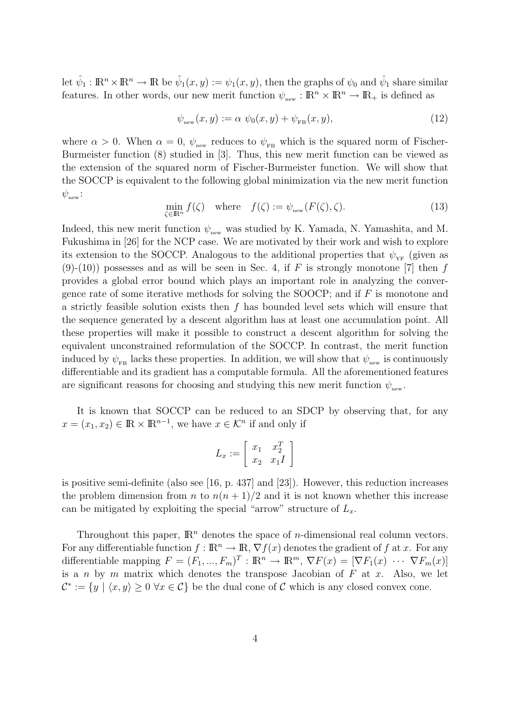let  $\hat{\psi}_1 : \mathbb{R}^n \times \mathbb{R}^n \to \mathbb{R}$  be  $\hat{\psi}_1(x, y) := \psi_1(x, y)$ , then the graphs of  $\psi_0$  and  $\hat{\psi}_1$  share similar features. In other words, our new merit function  $\psi_{\text{new}} : \mathbb{R}^n \times \mathbb{R}^n \to \mathbb{R}_+$  is defined as

$$
\psi_{\text{new}}(x, y) := \alpha \ \psi_0(x, y) + \psi_{\text{FB}}(x, y), \tag{12}
$$

where  $\alpha > 0$ . When  $\alpha = 0$ ,  $\psi_{\text{new}}$  reduces to  $\psi_{\text{FB}}$  which is the squared norm of Fischer-Burmeister function (8) studied in [3]. Thus, this new merit function can be viewed as the extension of the squared norm of Fischer-Burmeister function. We will show that the SOCCP is equivalent to the following global minimization via the new merit function  $\psi_{\text{new}}$ :

$$
\min_{\zeta \in \mathbb{R}^n} f(\zeta) \quad \text{where} \quad f(\zeta) := \psi_{\text{new}}(F(\zeta), \zeta). \tag{13}
$$

Indeed, this new merit function  $\psi_{\text{new}}$  was studied by K. Yamada, N. Yamashita, and M. Fukushima in [26] for the NCP case. We are motivated by their work and wish to explore its extension to the SOCCP. Analogous to the additional properties that  $\psi_{YF}$  (given as  $(9)-(10)$  possesses and as will be seen in Sec. 4, if F is strongly monotone [7] then f provides a global error bound which plays an important role in analyzing the convergence rate of some iterative methods for solving the SOOCP; and if  $F$  is monotone and a strictly feasible solution exists then  $f$  has bounded level sets which will ensure that the sequence generated by a descent algorithm has at least one accumulation point. All these properties will make it possible to construct a descent algorithm for solving the equivalent unconstrained reformulation of the SOCCP. In contrast, the merit function induced by  $\psi_{FB}$  lacks these properties. In addition, we will show that  $\psi_{\text{new}}$  is continuously differentiable and its gradient has a computable formula. All the aforementioned features are significant reasons for choosing and studying this new merit function  $\psi_{\text{new}}$ .

It is known that SOCCP can be reduced to an SDCP by observing that, for any  $x = (x_1, x_2) \in \mathbb{R} \times \mathbb{R}^{n-1}$ , we have  $x \in \mathcal{K}^n$  if and only if

$$
L_x := \left[ \begin{array}{cc} x_1 & x_2^T \\ x_2 & x_1 I \end{array} \right]
$$

is positive semi-definite (also see [16, p. 437] and [23]). However, this reduction increases the problem dimension from n to  $n(n+1)/2$  and it is not known whether this increase can be mitigated by exploiting the special "arrow" structure of  $L<sub>x</sub>$ .

Throughout this paper,  $\mathbb{R}^n$  denotes the space of *n*-dimensional real column vectors. For any differentiable function  $f : \mathbb{R}^n \to \mathbb{R}, \nabla f(x)$  denotes the gradient of f at x. For any differentiable mapping  $F = (F_1, ..., F_m)^T : \mathbb{R}^n \to \mathbb{R}^m$ ,  $\nabla F(x) = [\nabla F_1(x) \cdots \nabla F_m(x)]$ is a n by m matrix which denotes the transpose Jacobian of  $F$  at  $x$ . Also, we let  $\mathcal{C}^* := \{y \mid \langle x, y \rangle \geq 0 \,\forall x \in \mathcal{C}\}\$ be the dual cone of  $\mathcal{C}$  which is any closed convex cone.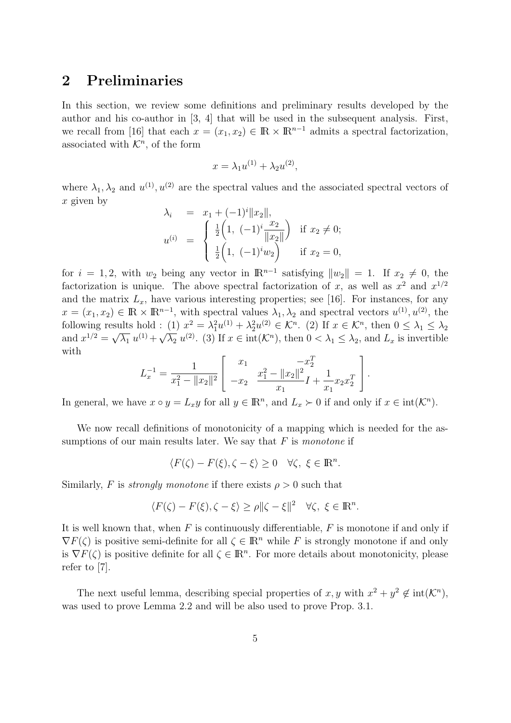### 2 Preliminaries

In this section, we review some definitions and preliminary results developed by the author and his co-author in [3, 4] that will be used in the subsequent analysis. First, we recall from [16] that each  $x = (x_1, x_2) \in \mathbb{R} \times \mathbb{R}^{n-1}$  admits a spectral factorization, associated with  $\mathcal{K}^n$ , of the form

$$
x = \lambda_1 u^{(1)} + \lambda_2 u^{(2)},
$$

where  $\lambda_1, \lambda_2$  and  $u^{(1)}, u^{(2)}$  are the spectral values and the associated spectral vectors of  $x$  given by

$$
\lambda_i = x_1 + (-1)^i ||x_2||,
$$
  
\n
$$
u^{(i)} = \begin{cases} \frac{1}{2} \left( 1, \ (-1)^i \frac{x_2}{||x_2||} \right) & \text{if } x_2 \neq 0; \\ \frac{1}{2} \left( 1, \ (-1)^i w_2 \right) & \text{if } x_2 = 0, \end{cases}
$$

for  $i = 1, 2$ , with  $w_2$  being any vector in  $\mathbb{R}^{n-1}$  satisfying  $||w_2|| = 1$ . If  $x_2 \neq 0$ , the factorization is unique. The above spectral factorization of x, as well as  $x^2$  and  $x^{1/2}$ and the matrix  $L_x$ , have various interesting properties; see [16]. For instances, for any  $x = (x_1, x_2) \in \mathbb{R} \times \mathbb{R}^{n-1}$ , with spectral values  $\lambda_1, \lambda_2$  and spectral vectors  $u^{(1)}, u^{(2)}$ , the following results hold : (1)  $x^2 = \lambda_1^2 u^{(1)} + \lambda_2^2 u^{(2)} \in \mathcal{K}^n$ . (2) If  $x \in \mathcal{K}^n$ , then  $0 \le \lambda_1 \le \lambda_2$ and  $x^{1/2} = \sqrt{\lambda_1} u^{(1)} + \sqrt{\lambda_2} u^{(2)}$ . (3) If  $x \in \text{int}(\mathcal{K}^n)$ , then  $0 < \lambda_1 \leq \lambda_2$ , and  $L_x$  is invertible with  $\overline{a}$  $\overline{a}$ 

$$
L_x^{-1} = \frac{1}{x_1^2 - ||x_2||^2} \left[ \begin{array}{cc} x_1 & -x_2^T \\ -x_2 & \frac{x_1^2 - ||x_2||^2}{x_1} I + \frac{1}{x_1} x_2 x_2^T \end{array} \right].
$$

In general, we have  $x \circ y = L_x y$  for all  $y \in \mathbb{R}^n$ , and  $L_x \succ 0$  if and only if  $x \in \text{int}(\mathcal{K}^n)$ .

We now recall definitions of monotonicity of a mapping which is needed for the assumptions of our main results later. We say that  $F$  is monotone if

$$
\langle F(\zeta) - F(\xi), \zeta - \xi \rangle \ge 0 \quad \forall \zeta, \ \xi \in \mathbb{R}^n.
$$

Similarly, F is *strongly monotone* if there exists  $\rho > 0$  such that

$$
\langle F(\zeta) - F(\xi), \zeta - \xi \rangle \ge \rho \|\zeta - \xi\|^2 \quad \forall \zeta, \ \xi \in \mathbb{R}^n.
$$

It is well known that, when  $F$  is continuously differentiable,  $F$  is monotone if and only if  $\nabla F(\zeta)$  is positive semi-definite for all  $\zeta \in \mathbb{R}^n$  while F is strongly monotone if and only is  $\nabla F(\zeta)$  is positive definite for all  $\zeta \in \mathbb{R}^n$ . For more details about monotonicity, please refer to [7].

The next useful lemma, describing special properties of x, y with  $x^2 + y^2 \notin int(\mathcal{K}^n)$ , was used to prove Lemma 2.2 and will be also used to prove Prop. 3.1.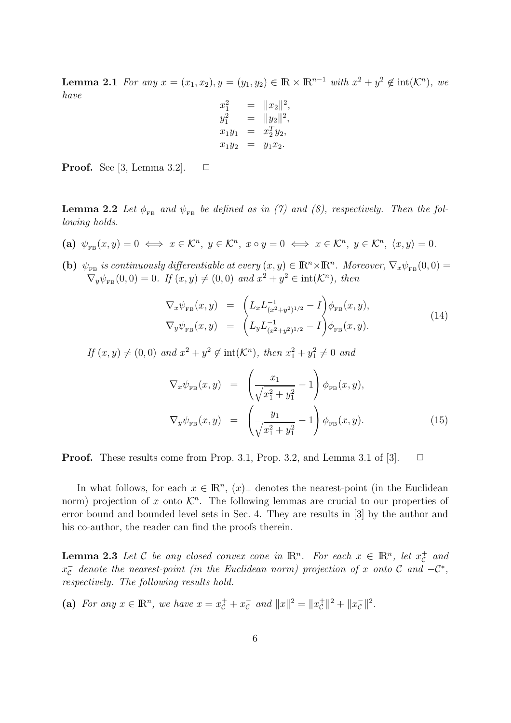**Lemma 2.1** For any  $x = (x_1, x_2), y = (y_1, y_2) \in \mathbb{R} \times \mathbb{R}^{n-1}$  with  $x^2 + y^2 \notin \text{int}(\mathcal{K}^n)$ , we have  $\overline{112}$ 

$$
x_1^2 = ||x_2||^2,
$$
  
\n
$$
y_1^2 = ||y_2||^2,
$$
  
\n
$$
x_1y_1 = x_2^Ty_2,
$$
  
\n
$$
x_1y_2 = y_1x_2.
$$

**Proof.** See [3, Lemma 3.2].  $\Box$ 

**Lemma 2.2** Let  $\phi_{FB}$  and  $\psi_{FB}$  be defined as in (7) and (8), respectively. Then the following holds.

- (a)  $\psi_{FB}(x, y) = 0 \iff x \in \mathcal{K}^n, y \in \mathcal{K}^n, x \circ y = 0 \iff x \in \mathcal{K}^n, y \in \mathcal{K}^n, \langle x, y \rangle = 0.$
- (b)  $\psi_{FB}$  is continuously differentiable at every  $(x, y) \in \mathbb{R}^n \times \mathbb{R}^n$ . Moreover,  $\nabla_x \psi_{FB}(0, 0) =$  $\nabla_y \psi_{FB}(0,0) = 0$ . If  $(x, y) \neq (0, 0)$  and  $x^2 + y^2 \in \text{int}(\mathcal{K}^n)$ , then

$$
\nabla_x \psi_{\text{FB}}(x, y) = \left( L_x L_{(x^2 + y^2)^{1/2}}^{-1} - I \right) \phi_{\text{FB}}(x, y), \n\nabla_y \psi_{\text{FB}}(x, y) = \left( L_y L_{(x^2 + y^2)^{1/2}}^{-1} - I \right) \phi_{\text{FB}}(x, y).
$$
\n(14)

If  $(x, y) \neq (0, 0)$  and  $x^2 + y^2 \notin \text{int}(\mathcal{K}^n)$ , then  $x_1^2 + y_1^2 \neq 0$  and

$$
\nabla_x \psi_{\rm FB}(x, y) = \left(\frac{x_1}{\sqrt{x_1^2 + y_1^2}} - 1\right) \phi_{\rm FB}(x, y),
$$
  

$$
\nabla_y \psi_{\rm FB}(x, y) = \left(\frac{y_1}{\sqrt{x_1^2 + y_1^2}} - 1\right) \phi_{\rm FB}(x, y).
$$
 (15)

**Proof.** These results come from Prop. 3.1, Prop. 3.2, and Lemma 3.1 of [3].  $\Box$ 

In what follows, for each  $x \in \mathbb{R}^n$ ,  $(x)_+$  denotes the nearest-point (in the Euclidean norm) projection of x onto  $\mathcal{K}^n$ . The following lemmas are crucial to our properties of error bound and bounded level sets in Sec. 4. They are results in [3] by the author and his co-author, the reader can find the proofs therein.

**Lemma 2.3** Let C be any closed convex cone in  $\mathbb{R}^n$ . For each  $x \in \mathbb{R}^n$ , let  $x_c^+$  and  $x_{\mathcal{C}}^-$  denote the nearest-point (in the Euclidean norm) projection of x onto  $\mathcal{C}$  and  $-\mathcal{C}^*$ , respectively. The following results hold.

(a) For any  $x \in \mathbb{R}^n$ , we have  $x = x_c^+ + x_c^-$  and  $||x||^2 = ||x_c^+||^2 + ||x_c^-||^2$ .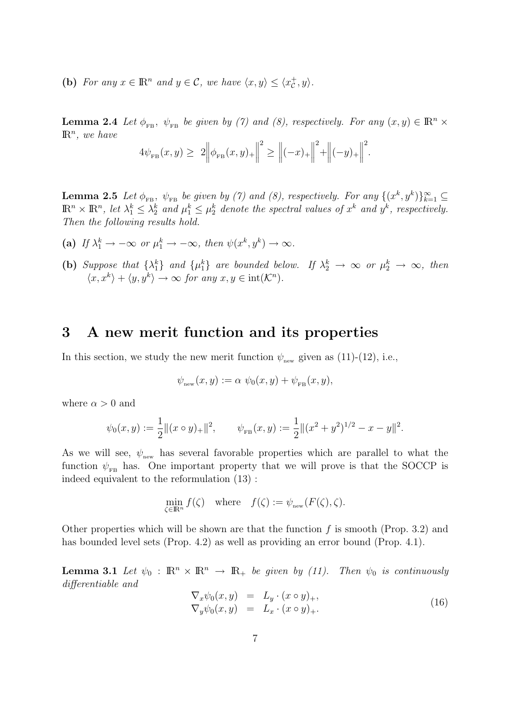(b) For any  $x \in \mathbb{R}^n$  and  $y \in \mathcal{C}$ , we have  $\langle x, y \rangle \leq \langle x_{\mathcal{C}}^+, y \rangle$ .

**Lemma 2.4** Let  $\phi_{FB}$ ,  $\psi_{FB}$  be given by (7) and (8), respectively. For any  $(x, y) \in \mathbb{R}^n \times$  $\mathbb{R}^n$ , we have ° ° ° ° ° °

$$
4\psi_{FB}(x,y) \geq 2\Big\|\phi_{FB}(x,y)_+\Big\|^2 \geq \Big\|(-x)_+\Big\|^2 + \Big\|(-y)_+\Big\|^2.
$$

**Lemma 2.5** Let  $\phi_{FB}$ ,  $\psi_{FB}$  be given by (7) and (8), respectively. For any  $\{(x^k, y^k)\}_{k=1}^{\infty} \subseteq$  $\mathbb{R}^n \times \mathbb{R}^n$ , let  $\lambda_1^k \leq \lambda_2^k$  and  $\mu_1^k \leq \mu_2^k$  denote the spectral values of  $x^k$  and  $y^k$ , respectively. Then the following results hold.

- (a) If  $\lambda_1^k \to -\infty$  or  $\mu_1^k \to -\infty$ , then  $\psi(x^k, y^k) \to \infty$ .
- (b) Suppose that  $\{\lambda_1^k\}$  and  $\{\mu_1^k\}$  are bounded below. If  $\lambda_2^k \to \infty$  or  $\mu_2^k \to \infty$ , then  $\langle x, x^k \rangle + \langle y, y^k \rangle \to \infty$  for any  $x, y \in \text{int}(\mathcal{K}^n)$ .

### 3 A new merit function and its properties

In this section, we study the new merit function  $\psi_{\text{new}}$  given as (11)-(12), i.e.,

$$
\psi_{\text{new}}(x, y) := \alpha \ \psi_0(x, y) + \psi_{\text{FB}}(x, y),
$$

where  $\alpha > 0$  and

$$
\psi_0(x, y) := \frac{1}{2} ||(x \circ y)_+||^2, \qquad \psi_{FB}(x, y) := \frac{1}{2} ||(x^2 + y^2)^{1/2} - x - y||^2.
$$

As we will see,  $\psi_{\text{new}}$  has several favorable properties which are parallel to what the function  $\psi_{FB}$  has. One important property that we will prove is that the SOCCP is indeed equivalent to the reformulation (13) :

$$
\min_{\zeta \in \mathbb{R}^n} f(\zeta) \quad \text{where} \quad f(\zeta) := \psi_{\text{new}}(F(\zeta), \zeta).
$$

Other properties which will be shown are that the function  $f$  is smooth (Prop. 3.2) and has bounded level sets (Prop. 4.2) as well as providing an error bound (Prop. 4.1).

**Lemma 3.1** Let  $\psi_0 : \mathbb{R}^n \times \mathbb{R}^n \to \mathbb{R}_+$  be given by (11). Then  $\psi_0$  is continuously differentiable and

$$
\nabla_x \psi_0(x, y) = L_y \cdot (x \circ y)_+, \n\nabla_y \psi_0(x, y) = L_x \cdot (x \circ y)_+.
$$
\n(16)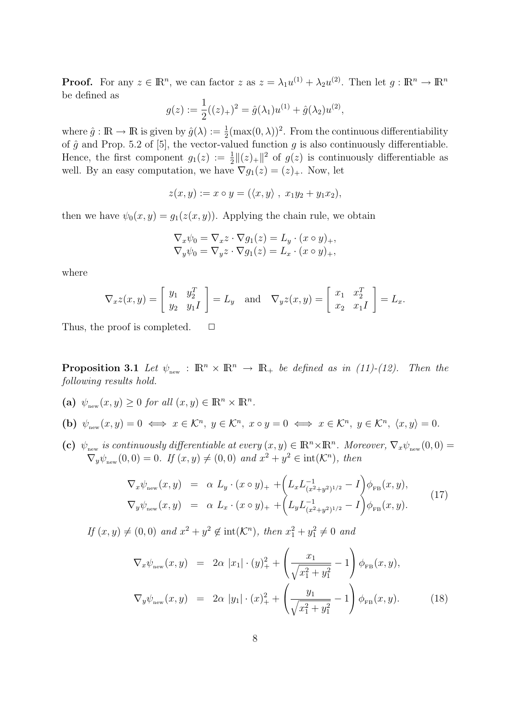**Proof.** For any  $z \in \mathbb{R}^n$ , we can factor  $z$  as  $z = \lambda_1 u^{(1)} + \lambda_2 u^{(2)}$ . Then let  $g: \mathbb{R}^n \to \mathbb{R}^n$ be defined as

$$
g(z) := \frac{1}{2}((z)_+)^2 = \hat{g}(\lambda_1)u^{(1)} + \hat{g}(\lambda_2)u^{(2)},
$$

where  $\hat{g}: \mathbb{R} \to \mathbb{R}$  is given by  $\hat{g}(\lambda) := \frac{1}{2} (\max(0, \lambda))^2$ . From the continuous differentiability of  $\hat{g}$  and Prop. 5.2 of [5], the vector-valued function g is also continuously differentiable. Hence, the first component  $g_1(z) := \frac{1}{2} ||(z)_+||^2$  of  $g(z)$  is continuously differentiable as well. By an easy computation, we have  $\nabla g_1(z) = (z)_+$ . Now, let

$$
z(x,y) := x \circ y = (\langle x, y \rangle, x_1y_2 + y_1x_2),
$$

then we have  $\psi_0(x, y) = g_1(z(x, y))$ . Applying the chain rule, we obtain

$$
\nabla_x \psi_0 = \nabla_x z \cdot \nabla g_1(z) = L_y \cdot (x \circ y)_+,
$$
  
\n
$$
\nabla_y \psi_0 = \nabla_y z \cdot \nabla g_1(z) = L_x \cdot (x \circ y)_+,
$$

where

$$
\nabla_x z(x, y) = \begin{bmatrix} y_1 & y_2^T \\ y_2 & y_1 I \end{bmatrix} = L_y \text{ and } \nabla_y z(x, y) = \begin{bmatrix} x_1 & x_2^T \\ x_2 & x_1 I \end{bmatrix} = L_x.
$$

Thus, the proof is completed.  $\Box$ 

**Proposition 3.1** Let  $\psi_{\text{new}}$ :  $\mathbb{R}^n \times \mathbb{R}^n \to \mathbb{R}_+$  be defined as in (11)-(12). Then the following results hold.

- (a)  $\psi_{\text{new}}(x, y) \ge 0$  for all  $(x, y) \in \mathbb{R}^n \times \mathbb{R}^n$ .
- (b)  $\psi_{\text{new}}(x, y) = 0 \iff x \in \mathcal{K}^n, y \in \mathcal{K}^n, x \circ y = 0 \iff x \in \mathcal{K}^n, y \in \mathcal{K}^n, \langle x, y \rangle = 0.$
- (c)  $\psi_{\text{new}}$  is continuously differentiable at every  $(x, y) \in \mathbb{R}^n \times \mathbb{R}^n$ . Moreover,  $\nabla_x \psi_{\text{new}}(0, 0) =$  $\nabla_y \psi_{\text{new}}(0,0) = 0$ . If  $(x, y) \neq (0, 0)$  and  $x^2 + y^2 \in \text{int}(\mathcal{K}^n)$ , then

$$
\nabla_x \psi_{\text{new}}(x, y) = \alpha L_y \cdot (x \circ y)_+ + \left( L_x L_{(x^2 + y^2)^{1/2}}^{-1} - I \right) \phi_{\text{FB}}(x, y),
$$
  
\n
$$
\nabla_y \psi_{\text{new}}(x, y) = \alpha L_x \cdot (x \circ y)_+ + \left( L_y L_{(x^2 + y^2)^{1/2}}^{-1} - I \right) \phi_{\text{FB}}(x, y).
$$
\n(17)

If  $(x, y) \neq (0, 0)$  and  $x^2 + y^2 \notin \text{int}(\mathcal{K}^n)$ , then  $x_1^2 + y_1^2 \neq 0$  and

$$
\nabla_x \psi_{\text{new}}(x, y) = 2\alpha |x_1| \cdot (y)_+^2 + \left(\frac{x_1}{\sqrt{x_1^2 + y_1^2}} - 1\right) \phi_{\text{FB}}(x, y),
$$
  

$$
\nabla_y \psi_{\text{new}}(x, y) = 2\alpha |y_1| \cdot (x)_+^2 + \left(\frac{y_1}{\sqrt{x_1^2 + y_1^2}} - 1\right) \phi_{\text{FB}}(x, y).
$$
 (18)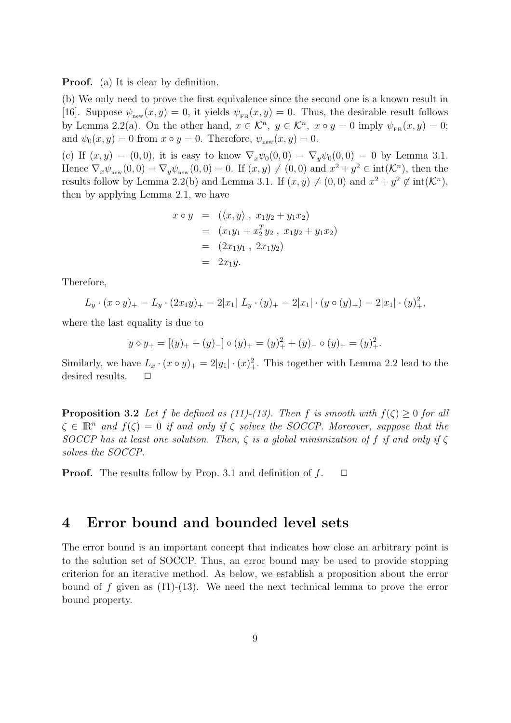Proof. (a) It is clear by definition.

(b) We only need to prove the first equivalence since the second one is a known result in [16]. Suppose  $\psi_{\text{new}}(x, y) = 0$ , it yields  $\psi_{\text{FB}}(x, y) = 0$ . Thus, the desirable result follows by Lemma 2.2(a). On the other hand,  $x \in \mathcal{K}^n$ ,  $y \in \mathcal{K}^n$ ,  $x \circ y = 0$  imply  $\psi_{FB}(x, y) = 0$ ; and  $\psi_0(x, y) = 0$  from  $x \circ y = 0$ . Therefore,  $\psi_{\text{new}}(x, y) = 0$ .

(c) If  $(x, y) = (0, 0)$ , it is easy to know  $\nabla_x \psi_0(0, 0) = \nabla_y \psi_0(0, 0) = 0$  by Lemma 3.1. Hence  $\nabla_x \psi_{\text{new}}(0,0) = \nabla_y \psi_{\text{new}}(0,0) = 0$ . If  $(x, y) \neq (0, 0)$  and  $x^2 + y^2 \in \text{int}(\mathcal{K}^n)$ , then the results follow by Lemma 2.2(b) and Lemma 3.1. If  $(x, y) \neq (0, 0)$  and  $x^2 + y^2 \notin int(\mathcal{K}^n)$ , then by applying Lemma 2.1, we have

$$
x \circ y = (\langle x, y \rangle, x_1y_2 + y_1x_2)
$$
  
=  $(x_1y_1 + x_2^T y_2, x_1y_2 + y_1x_2)$   
=  $(2x_1y_1, 2x_1y_2)$   
=  $2x_1y$ .

Therefore,

$$
L_y \cdot (x \circ y)_+ = L_y \cdot (2x_1y)_+ = 2|x_1| \cdot (y \cdot (y)_+ = 2|x_1| \cdot (y \circ (y)_+) = 2|x_1| \cdot (y)_+^2,
$$

where the last equality is due to

$$
y \circ y_{+} = [(y)_{+} + (y)_{-}] \circ (y)_{+} = (y)_{+}^{2} + (y)_{-} \circ (y)_{+} = (y)_{+}^{2}.
$$

Similarly, we have  $L_x \cdot (x \circ y)_+ = 2|y_1| \cdot (x)_+^2$ . This together with Lemma 2.2 lead to the desired results.  $\Box$ 

**Proposition 3.2** Let f be defined as (11)-(13). Then f is smooth with  $f(\zeta) > 0$  for all  $\zeta \in \mathbb{R}^n$  and  $f(\zeta) = 0$  if and only if  $\zeta$  solves the SOCCP. Moreover, suppose that the SOCCP has at least one solution. Then,  $\zeta$  is a global minimization of f if and only if  $\zeta$ solves the SOCCP.

**Proof.** The results follow by Prop. 3.1 and definition of  $f$ .  $\Box$ 

### 4 Error bound and bounded level sets

The error bound is an important concept that indicates how close an arbitrary point is to the solution set of SOCCP. Thus, an error bound may be used to provide stopping criterion for an iterative method. As below, we establish a proposition about the error bound of f given as  $(11)-(13)$ . We need the next technical lemma to prove the error bound property.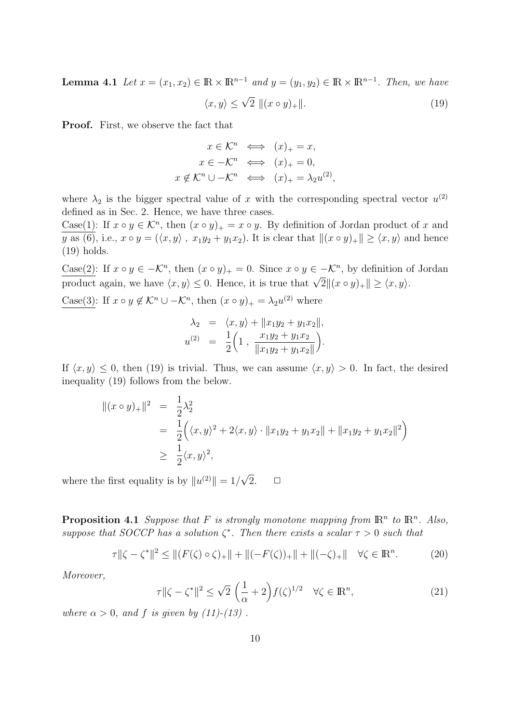**Lemma 4.1** Let  $x = (x_1, x_2) \in \mathbb{R} \times \mathbb{R}^{n-1}$  and  $y = (y_1, y_2) \in \mathbb{R} \times \mathbb{R}^{n-1}$ . Then, we have

$$
\langle x, y \rangle \le \sqrt{2} \, ||(x \circ y)_+||. \tag{19}
$$

Proof. First, we observe the fact that

$$
x \in \mathcal{K}^n \iff (x)_+ = x,
$$
  
\n
$$
x \in -\mathcal{K}^n \iff (x)_+ = 0,
$$
  
\n
$$
x \notin \mathcal{K}^n \cup -\mathcal{K}^n \iff (x)_+ = \lambda_2 u^{(2)},
$$

where  $\lambda_2$  is the bigger spectral value of x with the corresponding spectral vector  $u^{(2)}$ defined as in Sec. 2. Hence, we have three cases.

Case(1): If  $x \circ y \in \mathcal{K}^n$ , then  $(x \circ y)_+ = x \circ y$ . By definition of Jordan product of x and y as (6), i.e.,  $x \circ y = (\langle x, y \rangle, x_1y_2 + y_1x_2)$ . It is clear that  $\|(x \circ y)_+\| \ge \langle x, y \rangle$  and hence (19) holds.

Case(2): If  $x \circ y \in -\mathcal{K}^n$ , then  $(x \circ y)_+ = 0$ . Since  $x \circ y \in -\mathcal{K}^n$ , by definition of Jordan  $\frac{\cos(z)}{z}$ . If  $x \circ y \in -\infty$ , then  $(x \circ y)_+ = 0$ . Since  $x \circ y \in -\infty$ , by definition of product again, we have  $\langle x, y \rangle \leq 0$ . Hence, it is true that  $\sqrt{2} \| (x \circ y)_+\| \geq \langle x, y \rangle$ .

Case(3): If  $x \circ y \notin \mathcal{K}^n \cup -\mathcal{K}^n$ , then  $(x \circ y)_+ = \lambda_2 u^{(2)}$  where

$$
\lambda_2 = \langle x, y \rangle + ||x_1y_2 + y_1x_2||,
$$
  

$$
u^{(2)} = \frac{1}{2} \Big( 1, \frac{x_1y_2 + y_1x_2}{||x_1y_2 + y_1x_2||} \Big).
$$

If  $\langle x, y \rangle \leq 0$ , then (19) is trivial. Thus, we can assume  $\langle x, y \rangle > 0$ . In fact, the desired inequality (19) follows from the below.

$$
||(x \circ y)_{+}||^{2} = \frac{1}{2}\lambda_{2}^{2}
$$
  
=  $\frac{1}{2}((x, y)^{2} + 2\langle x, y \rangle \cdot ||x_{1}y_{2} + y_{1}x_{2}|| + ||x_{1}y_{2} + y_{1}x_{2}||^{2})$   
 $\geq \frac{1}{2}\langle x, y \rangle^{2},$ 

where the first equality is by  $||u^{(2)}|| = 1/$ √  $2. \Box$ 

**Proposition 4.1** Suppose that F is strongly monotone mapping from  $\mathbb{R}^n$  to  $\mathbb{R}^n$ . Also, suppose that SOCCP has a solution  $\zeta^*$ . Then there exists a scalar  $\tau > 0$  such that

$$
\tau \|\zeta - \zeta^*\|^2 \le \| (F(\zeta) \circ \zeta)_+\| + \| (-F(\zeta))_+\| + \| (-\zeta)_+\| \quad \forall \zeta \in \mathbb{R}^n. \tag{20}
$$

Moreover,

$$
\tau \|\zeta - \zeta^*\|^2 \le \sqrt{2} \left(\frac{1}{\alpha} + 2\right) f(\zeta)^{1/2} \quad \forall \zeta \in \mathbb{R}^n,
$$
\n(21)

where  $\alpha > 0$ , and f is given by (11)-(13).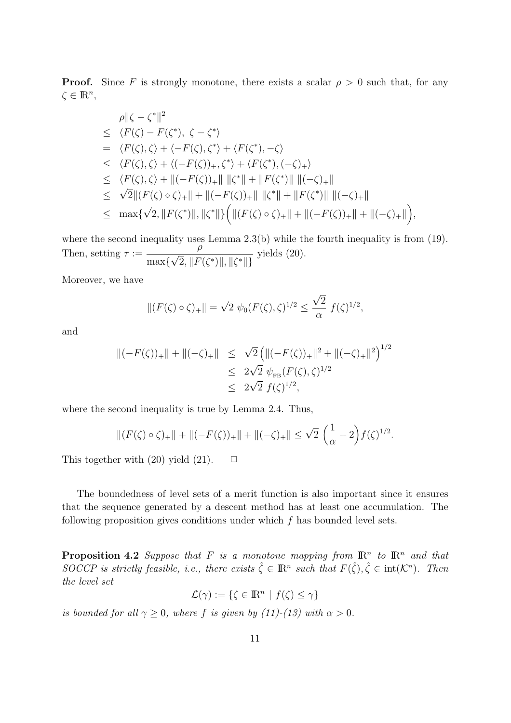**Proof.** Since F is strongly monotone, there exists a scalar  $\rho > 0$  such that, for any  $\zeta \in \mathbb{R}^n$ ,

$$
\rho ||\zeta - \zeta^*||^2
$$
\n
$$
\leq \langle F(\zeta) - F(\zeta^*), \zeta - \zeta^* \rangle
$$
\n
$$
= \langle F(\zeta), \zeta \rangle + \langle -F(\zeta), \zeta^* \rangle + \langle F(\zeta^*), -\zeta \rangle
$$
\n
$$
\leq \langle F(\zeta), \zeta \rangle + \langle (-F(\zeta))_+, \zeta^* \rangle + \langle F(\zeta^*), (-\zeta)_+ \rangle
$$
\n
$$
\leq \langle F(\zeta), \zeta \rangle + ||(-F(\zeta))_+|| ||\zeta^*|| + ||F(\zeta^*)|| ||(-\zeta)_+||
$$
\n
$$
\leq \sqrt{2} ||(F(\zeta) \circ \zeta)_+|| + ||(-F(\zeta))_+|| ||\zeta^*|| + ||F(\zeta^*)|| ||(-\zeta)_+||
$$
\n
$$
\leq \max \{ \sqrt{2}, ||F(\zeta^*)||, ||\zeta^*|| \} \Big( ||(F(\zeta) \circ \zeta)_+|| + ||(-F(\zeta))_+|| + ||(-\zeta)_+|| \Big),
$$

where the second inequality uses Lemma 2.3(b) while the fourth inequality is from (19). Then, setting  $\tau :=$ ρ max{  $\overline{\phantom{0}}$  $\{2, \|F(\zeta^*)\|, \|\zeta^*\|\}$ yields (20).

Moreover, we have

$$
||(F(\zeta) \circ \zeta)_+|| = \sqrt{2} \ \psi_0(F(\zeta), \zeta)^{1/2} \le \frac{\sqrt{2}}{\alpha} \ f(\zeta)^{1/2},
$$

and

$$
\begin{array}{rcl} ||(-F(\zeta))_+|| + ||(-\zeta)_+|| & \leq & \sqrt{2} \left( ||(-F(\zeta))_+||^2 + ||(-\zeta)_+||^2 \right)^{1/2} \\ & \leq & 2\sqrt{2} \ \psi_{FB}(F(\zeta), \zeta)^{1/2} \\ & \leq & 2\sqrt{2} \ f(\zeta)^{1/2}, \end{array}
$$

where the second inequality is true by Lemma 2.4. Thus,

$$
\|(F(\zeta)\circ\zeta)_+\| + \|(-F(\zeta))_+\| + \|(-\zeta)_+\| \le \sqrt{2}\left(\frac{1}{\alpha} + 2\right)f(\zeta)^{1/2}
$$

.

This together with  $(20)$  yield  $(21)$ .  $\Box$ 

The boundedness of level sets of a merit function is also important since it ensures that the sequence generated by a descent method has at least one accumulation. The following proposition gives conditions under which  $f$  has bounded level sets.

**Proposition 4.2** Suppose that F is a monotone mapping from  $\mathbb{R}^n$  to  $\mathbb{R}^n$  and that SOCCP is strictly feasible, i.e., there exists  $\hat{\zeta} \in \mathbb{R}^n$  such that  $F(\hat{\zeta}), \hat{\zeta} \in \text{int}(\mathcal{K}^n)$ . Then the level set

$$
\mathcal{L}(\gamma) := \{ \zeta \in \mathbb{R}^n \mid f(\zeta) \le \gamma \}
$$

is bounded for all  $\gamma \geq 0$ , where f is given by (11)-(13) with  $\alpha > 0$ .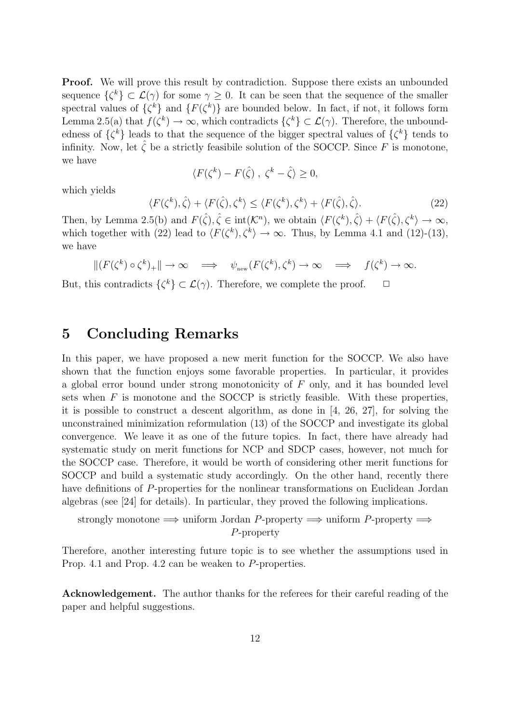**Proof.** We will prove this result by contradiction. Suppose there exists an unbounded sequence  $\{\zeta^k\} \subset \mathcal{L}(\gamma)$  for some  $\gamma \geq 0$ . It can be seen that the sequence of the smaller spectral values of  $\{\zeta^k\}$  and  $\{F(\zeta^k)\}$  are bounded below. In fact, if not, it follows form Lemma 2.5(a) that  $f(\zeta^k) \to \infty$ , which contradicts  $\{\zeta^k\} \subset \mathcal{L}(\gamma)$ . Therefore, the unboundedness of  $\{\zeta^k\}$  leads to that the sequence of the bigger spectral values of  $\{\zeta^k\}$  tends to infinity. Now, let  $\hat{\zeta}$  be a strictly feasibile solution of the SOCCP. Since F is monotone, we have

$$
\langle F(\zeta^k) - F(\hat{\zeta}), \ \zeta^k - \hat{\zeta} \rangle \ge 0,
$$

which yields

$$
\langle F(\zeta^k), \hat{\zeta} \rangle + \langle F(\hat{\zeta}), \zeta^k \rangle \le \langle F(\zeta^k), \zeta^k \rangle + \langle F(\hat{\zeta}), \hat{\zeta} \rangle. \tag{22}
$$

Then, by Lemma 2.5(b) and  $F(\hat{\zeta}), \hat{\zeta} \in \text{int}(\mathcal{K}^n)$ , we obtain  $\langle F(\zeta^k), \hat{\zeta} \rangle + \langle F(\hat{\zeta}), \zeta^k \rangle \to \infty$ , which together with (22) lead to  $\langle F(\zeta^k), \zeta^k \rangle \to \infty$ . Thus, by Lemma 4.1 and (12)-(13), we have

$$
\|(F(\zeta^k) \circ \zeta^k)_+\| \to \infty \quad \Longrightarrow \quad \psi_{\text{new}}(F(\zeta^k), \zeta^k) \to \infty \quad \Longrightarrow \quad f(\zeta^k) \to \infty.
$$

But, this contradicts  $\{\zeta^k\} \subset \mathcal{L}(\gamma)$ . Therefore, we complete the proof.  $\Box$ 

## 5 Concluding Remarks

In this paper, we have proposed a new merit function for the SOCCP. We also have shown that the function enjoys some favorable properties. In particular, it provides a global error bound under strong monotonicity of F only, and it has bounded level sets when  $F$  is monotone and the SOCCP is strictly feasible. With these properties, it is possible to construct a descent algorithm, as done in [4, 26, 27], for solving the unconstrained minimization reformulation (13) of the SOCCP and investigate its global convergence. We leave it as one of the future topics. In fact, there have already had systematic study on merit functions for NCP and SDCP cases, however, not much for the SOCCP case. Therefore, it would be worth of considering other merit functions for SOCCP and build a systematic study accordingly. On the other hand, recently there have definitions of P-properties for the nonlinear transformations on Euclidean Jordan algebras (see [24] for details). In particular, they proved the following implications.

strongly monotone  $\implies$  uniform Jordan P-property  $\implies$  uniform P-property  $\implies$ P-property

Therefore, another interesting future topic is to see whether the assumptions used in Prop. 4.1 and Prop. 4.2 can be weaken to P-properties.

Acknowledgement. The author thanks for the referees for their careful reading of the paper and helpful suggestions.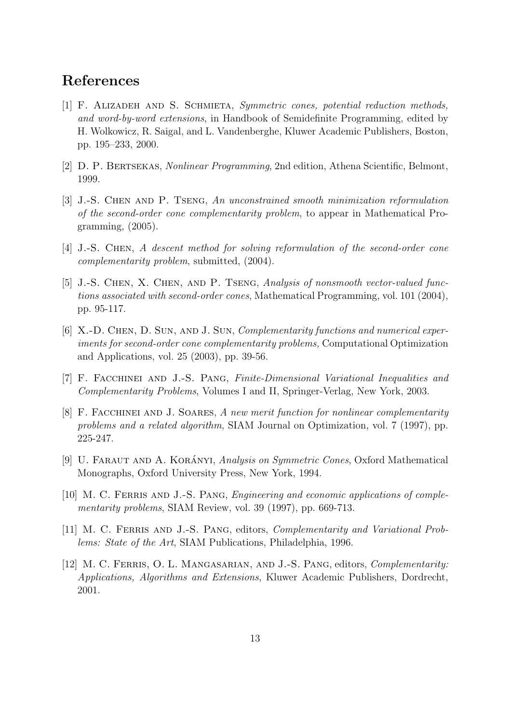# References

- [1] F. Alizadeh and S. Schmieta, Symmetric cones, potential reduction methods, and word-by-word extensions, in Handbook of Semidefinite Programming, edited by H. Wolkowicz, R. Saigal, and L. Vandenberghe, Kluwer Academic Publishers, Boston, pp. 195–233, 2000.
- [2] D. P. Bertsekas, Nonlinear Programming, 2nd edition, Athena Scientific, Belmont, 1999.
- [3] J.-S. Chen and P. Tseng, An unconstrained smooth minimization reformulation of the second-order cone complementarity problem, to appear in Mathematical Programming, (2005).
- [4] J.-S. CHEN, A descent method for solving reformulation of the second-order cone complementarity problem, submitted, (2004).
- [5] J.-S. Chen, X. Chen, and P. Tseng, Analysis of nonsmooth vector-valued functions associated with second-order cones, Mathematical Programming, vol. 101 (2004), pp. 95-117.
- [6] X.-D. CHEN, D. SUN, AND J. SUN, *Complementarity functions and numerical exper*iments for second-order cone complementarity problems, Computational Optimization and Applications, vol. 25 (2003), pp. 39-56.
- [7] F. Facchinei and J.-S. Pang, Finite-Dimensional Variational Inequalities and Complementarity Problems, Volumes I and II, Springer-Verlag, New York, 2003.
- [8] F. FACCHINEI AND J. SOARES, A new merit function for nonlinear complementarity problems and a related algorithm, SIAM Journal on Optimization, vol. 7 (1997), pp. 225-247.
- [9] U. FARAUT AND A. KORÁNYI, Analysis on Symmetric Cones, Oxford Mathematical Monographs, Oxford University Press, New York, 1994.
- [10] M. C. FERRIS AND J.-S. PANG, *Engineering and economic applications of comple*mentarity problems, SIAM Review, vol. 39 (1997), pp. 669-713.
- [11] M. C. FERRIS AND J.-S. PANG, editors, *Complementarity and Variational Prob*lems: State of the Art, SIAM Publications, Philadelphia, 1996.
- [12] M. C. Ferris, O. L. Mangasarian, and J.-S. Pang, editors, Complementarity: Applications, Algorithms and Extensions, Kluwer Academic Publishers, Dordrecht, 2001.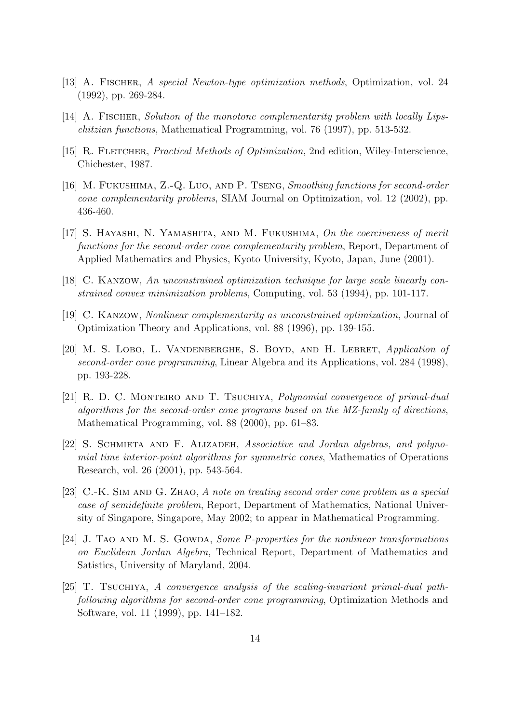- [13] A. Fischer, A special Newton-type optimization methods, Optimization, vol. 24 (1992), pp. 269-284.
- [14] A. FISCHER, Solution of the monotone complementarity problem with locally Lipschitzian functions, Mathematical Programming, vol. 76 (1997), pp. 513-532.
- [15] R. FLETCHER, *Practical Methods of Optimization*, 2nd edition, Wiley-Interscience, Chichester, 1987.
- [16] M. Fukushima, Z.-Q. Luo, and P. Tseng, Smoothing functions for second-order cone complementarity problems, SIAM Journal on Optimization, vol. 12 (2002), pp. 436-460.
- [17] S. Hayashi, N. Yamashita, and M. Fukushima, On the coerciveness of merit functions for the second-order cone complementarity problem, Report, Department of Applied Mathematics and Physics, Kyoto University, Kyoto, Japan, June (2001).
- [18] C. Kanzow, An unconstrained optimization technique for large scale linearly constrained convex minimization problems, Computing, vol. 53 (1994), pp. 101-117.
- [19] C. Kanzow, Nonlinear complementarity as unconstrained optimization, Journal of Optimization Theory and Applications, vol. 88 (1996), pp. 139-155.
- [20] M. S. Lobo, L. Vandenberghe, S. Boyd, and H. Lebret, Application of second-order cone programming, Linear Algebra and its Applications, vol. 284 (1998), pp. 193-228.
- [21] R. D. C. Monteiro and T. Tsuchiya, Polynomial convergence of primal-dual algorithms for the second-order cone programs based on the MZ-family of directions, Mathematical Programming, vol. 88 (2000), pp. 61–83.
- [22] S. SCHMIETA AND F. ALIZADEH, Associative and Jordan algebras, and polynomial time interior-point algorithms for symmetric cones, Mathematics of Operations Research, vol. 26 (2001), pp. 543-564.
- [23] C.-K. Sim and G. Zhao, A note on treating second order cone problem as a special case of semidefinite problem, Report, Department of Mathematics, National University of Singapore, Singapore, May 2002; to appear in Mathematical Programming.
- [24] J. TAO AND M. S. GOWDA, Some P-properties for the nonlinear transformations on Euclidean Jordan Algebra, Technical Report, Department of Mathematics and Satistics, University of Maryland, 2004.
- [25] T. Tsuchiya, A convergence analysis of the scaling-invariant primal-dual pathfollowing algorithms for second-order cone programming, Optimization Methods and Software, vol. 11 (1999), pp. 141–182.